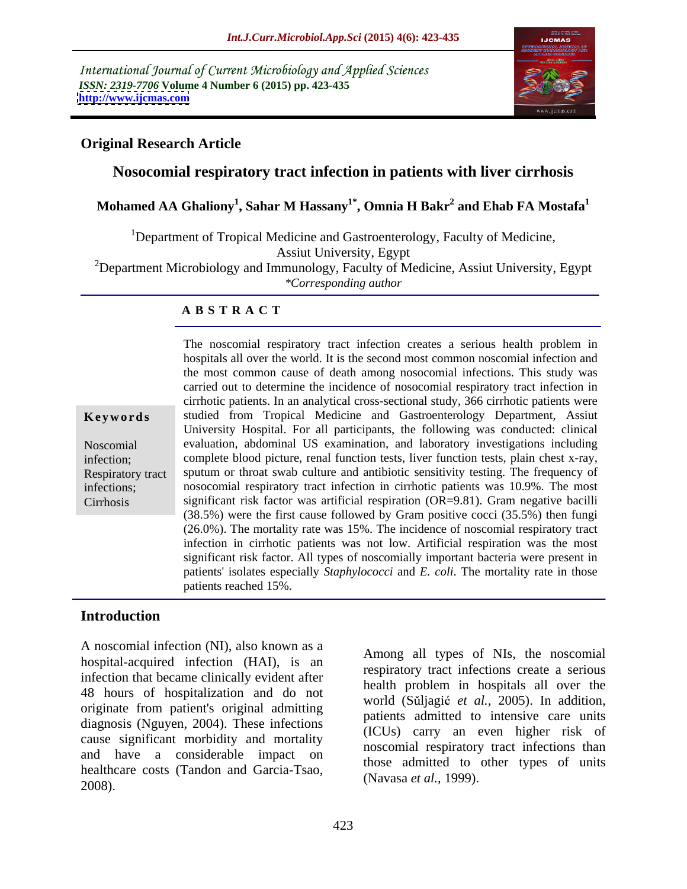International Journal of Current Microbiology and Applied Sciences *ISSN: 2319-7706* **Volume 4 Number 6 (2015) pp. 423-435 <http://www.ijcmas.com>**



## **Original Research Article**

# **Nosocomial respiratory tract infection in patients with liver cirrhosis**

## $\bold{Mohamed\ AA\ Ghaliony}^{1}, \bold{Sahar\ M\ Hassany}^{1*}, \bold{Omnia\ H\ Bakr}^{2}$  and  $\bold{Ehab\ FA\ Mostafa}^{1}$  **and Ehab FA Mostafa1**

<sup>1</sup>Department of Tropical Medicine and Gastroenterology, Faculty of Medicine,

Assiut University, Egypt

<sup>2</sup>Department Microbiology and Immunology, Faculty of Medicine, Assiut University, Egypt *\*Corresponding author*

## **A B S T R A C T**

Cirrhosis

The noscomial respiratory tract infection creates a serious health problem in hospitals all over the world. It is the second most common noscomial infection and the most common cause of death among nosocomial infections. This study was carried out to determine the incidence of nosocomial respiratory tract infection in cirrhotic patients. In an analytical cross-sectional study, 366 cirrhotic patients were **Keywords** studied from Tropical Medicine and Gastroenterology Department, Assiut University Hospital. For all participants, the following was conducted: clinical evaluation, abdominal US examination, and laboratory investigations including Noscomial infection; complete blood picture, renal function tests, liver function tests, plain chest x-ray, Respiratory tract sputum or throat swab culture and antibiotic sensitivity testing. The frequency of infections; nosocomial respiratory tract infection in cirrhotic patients was 10.9%. The most significant risk factor was artificial respiration (OR=9.81). Gram negative bacilli (38.5%) were the first cause followed by Gram positive cocci (35.5%) then fungi (26.0%). The mortality rate was 15%. The incidence of noscomial respiratory tract infection in cirrhotic patients was not low. Artificial respiration was the most significant risk factor. All types of noscomially important bacteria were present in patients' isolates especially *Staphylococci* and *E. coli*. The mortality rate in those patients reached 15%.

## **Introduction**

A noscomial infection (NI), also known as a hospital-acquired infection (HAI), is an infection that became clinically evident after 48 hours of hospitalization and do not originate from patient's original admitting diagnosis (Nguyen, 2004). These infections cause significant morbidity and mortality and have a considerable impact on healthcare costs (Tandon and Garcia-Tsao,  $(1)$  avasa et al.,  $1222$ .

Among all types of NIs, the noscomial respiratory tract infections create a serious health problem in hospitals all over the world (Sŭljagić *et al.*, 2005). In addition, patients admitted to intensive care units (ICUs) carry an even higher risk of noscomial respiratory tract infections than those admitted to other types of units (Navasa *et al.,* 1999)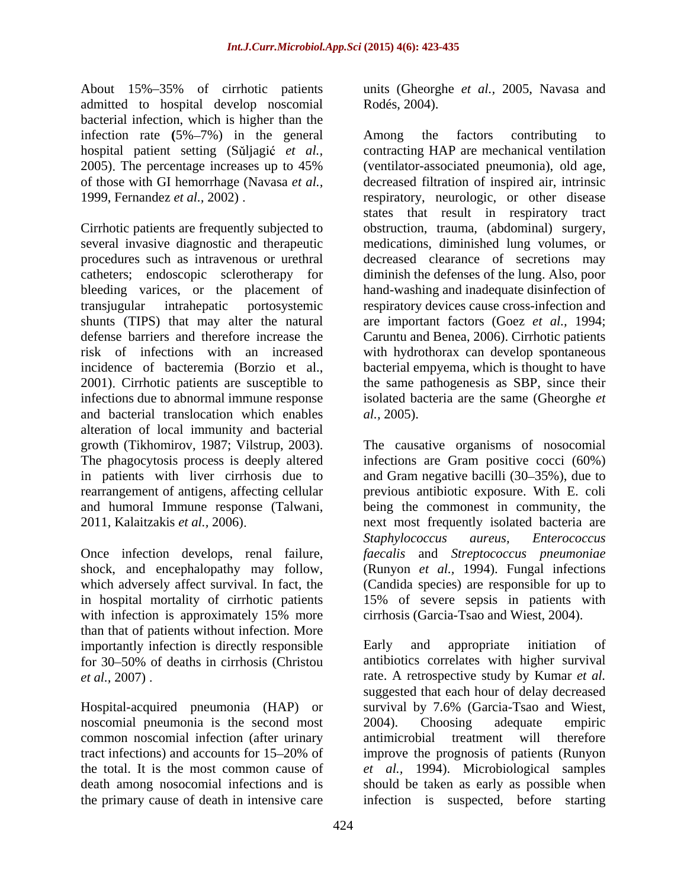About 15% 35% of cirrhotic patients units (Gheorghe *et al.,* 2005, Navasa and admitted to hospital develop noscomial Rodés, 2004). bacterial infection, which is higher than the infection rate  $(5\% - 7\%)$  in the general Among the factors contributing to

Cirrhotic patients are frequently subjected to obstruction, trauma, (abdominal) surgery, several invasive diagnostic and therapeutic procedures such as intravenous or urethral decreased clearance of secretions may catheters; endoscopic sclerotherapy for diminish the defenses of the lung. Also, poor bleeding varices, or the placement of transjugular intrahepatic portosystemic respiratory devices cause cross-infection and shunts (TIPS) that may alter the natural are important factors (Goez *et al.,* 1994; defense barriers and therefore increase the Caruntu and Benea, 2006). Cirrhotic patients risk of infections with an increased with hydrothorax can develop spontaneous incidence of bacteremia (Borzio et al., bacterial empyema, which is thought to have 2001). Cirrhotic patients are susceptible to the same pathogenesis as SBP, since their infections due to abnormal immune response isolated bacteria are the same (Gheorghe *et*  and bacterial translocation which enables *al.*, 2005). alteration of local immunity and bacterial in patients with liver cirrhosis due to

with infection is approximately 15% more than that of patients without infection. More importantly infection is directly responsible  $\qquad$  Early and appropriate initiation of for 30 50% of deaths in cirrhosis (Christou

noscomial pneumonia is the second most 2004). Choosing adequate empiric common noscomial infection (after urinary

Rodés, 2004).

hospital patient setting (Sǔljagić *et al.*, contracting HAP are mechanical ventilation 2005) The percentage increases up to 45% (ventilator-associated pneumonia), old age, of those with GI hemorrhage (Navasa *et al.,* decreased filtration of inspired air, intrinsic 1999, Fernandez *et al.,* 2002) respiratory, neurologic, or other disease Among the factors contributing to states that result in respiratory tract medications, diminished lung volumes, or hand-washing and inadequate disinfection of bacterial empyema, which is thought to have the same pathogenesis as SBP, since their *al.,* 2005).

growth (Tikhomirov, 1987; Vilstrup, 2003). The causative organisms of nosocomial The phagocytosis process is deeply altered infections are Gram positive cocci (60%) rearrangement of antigens, affecting cellular previous antibiotic exposure. With E. coli and humoral Immune response (Talwani, being the commonest in community, the 2011, Kalaitzakis *et al.,* 2006) next most frequently isolated bacteria are Once infection develops, renal failure, *faecalis* and *Streptococcus pneumoniae* shock, and encephalopathy may follow, (Runyon *et al.,* 1994). Fungal infections which adversely affect survival. In fact, the (Candida species) are responsible for up to in hospital mortality of cirrhotic patients 15% of severe sepsis in patients with and Gram negative bacilli  $(30-35%)$ , due to *Staphylococcus aureus, Enterococcus* cirrhosis (Garcia-Tsao and Wiest, 2004).

*et al.,* 2007) rate. A retrospective study by Kumar *et al.* Hospital-acquired pneumonia (HAP) or survival by 7.6% (Garcia-Tsao and Wiest, tract infections) and accounts for 15 20% of improve the prognosis of patients (Runyon the total. It is the most common cause of *et al.,* 1994). Microbiological samples death among nosocomial infections and is should be taken as early as possible when the primary cause of death in intensive care infection is suspected, before starting Early and appropriate initiation of antibiotics correlates with higher survival suggested that each hour of delay decreased 2004). Choosing adequate empiric antimicrobial treatment will therefore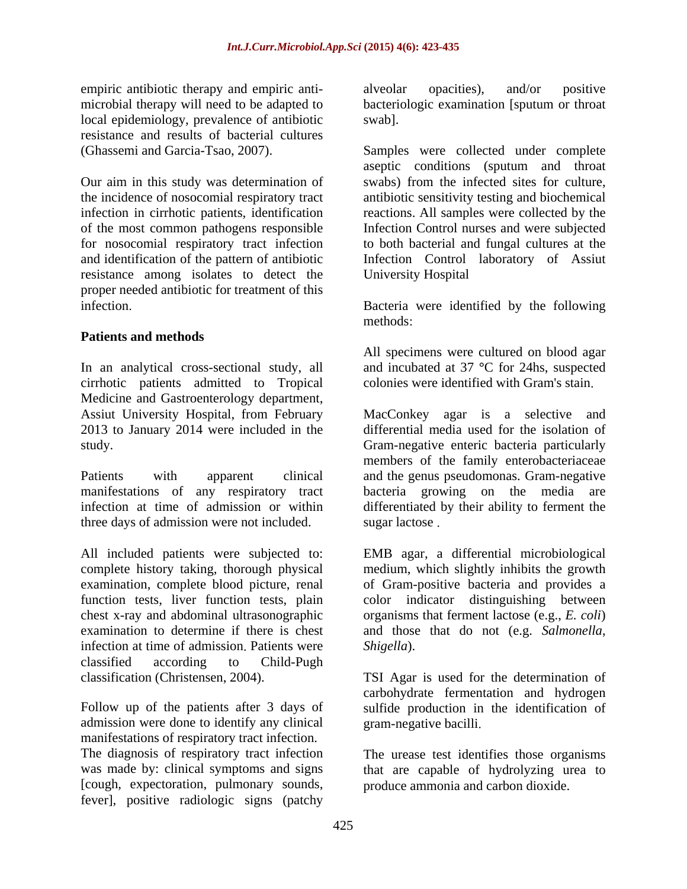empiric antibiotic therapy and empiric anti-<br>alveolar opacities), and/or positive local epidemiology, prevalence of antibiotic resistance and results of bacterial cultures

Our aim in this study was determination of of the most common pathogens responsible for nosocomial respiratory tract infection resistance among isolates to detect the proper needed antibiotic for treatment of this infection Bacteria were identified by the following

## **Patients and methods**

In an analytical cross-sectional study, all cirrhotic patients admitted to Tropical Medicine and Gastroenterology department, 2013 to January 2014 were included in the

manifestations of any respiratory tract three days of admission were not included.

infection at time of admission. Patients were Shigella). classified according to Child-Pugh

admission were done to identify any clinical manifestations of respiratory tract infection. The diagnosis of respiratory tract infection was made by: clinical symptoms and signs that are capable of hydrolyzing urea to [cough, expectoration, pulmonary sounds, fever], positive radiologic signs (patchy

microbial therapy will need to be adapted to bacteriologic examination [sputum or throat alveolar opacities), and/or positive swab].

(Ghassemi and Garcia-Tsao, 2007). Samples were collected under complete the incidence of nosocomial respiratory tract antibiotic sensitivity testing and biochemical infection in cirrhotic patients, identification reactions. All samples were collected by the and identification of the pattern of antibiotic Infection Control laboratory of Assiut aseptic conditions (sputum and throat swabs) from the infected sites for culture, Infection Control nurses and were subjected to both bacterial and fungal cultures at the University Hospital

methods:

All specimens were cultured on blood agar and incubated at 37 **°**C for 24hs, suspected colonies were identified with Gram's stain

Assiut University Hospital, from February MacConkey agar is a selective and study. Gram-negative enteric bacteria particularly Patients with apparent clinical and the genus pseudomonas. Gram-negative infection at time of admission or within differentiated by their ability to ferment the differential media used for the isolation of members of the family enterobacteriaceae bacteria growing on the media sugar lactose.

All included patients were subjected to: EMB agar, a differential microbiological complete history taking, thorough physical medium, which slightly inhibits the growth examination, complete blood picture, renal of Gram-positive bacteria and provides a function tests, liver function tests, plain color indicator distinguishing between chest x-ray and abdominal ultrasonographic organisms that ferment lactose (e.g., *E. coli*) examination to determine if there is chest and those that do not (e.g. *Salmonella*, *Shigella*).

classification (Christensen, 2004). TSI Agar is used for the determination of Follow up of the patients after 3 days of sulfide production in the identification of carbohydrate fermentation and hydrogen gram-negative bacilli

> The urease test identifies those organisms produce ammonia and carbon dioxide.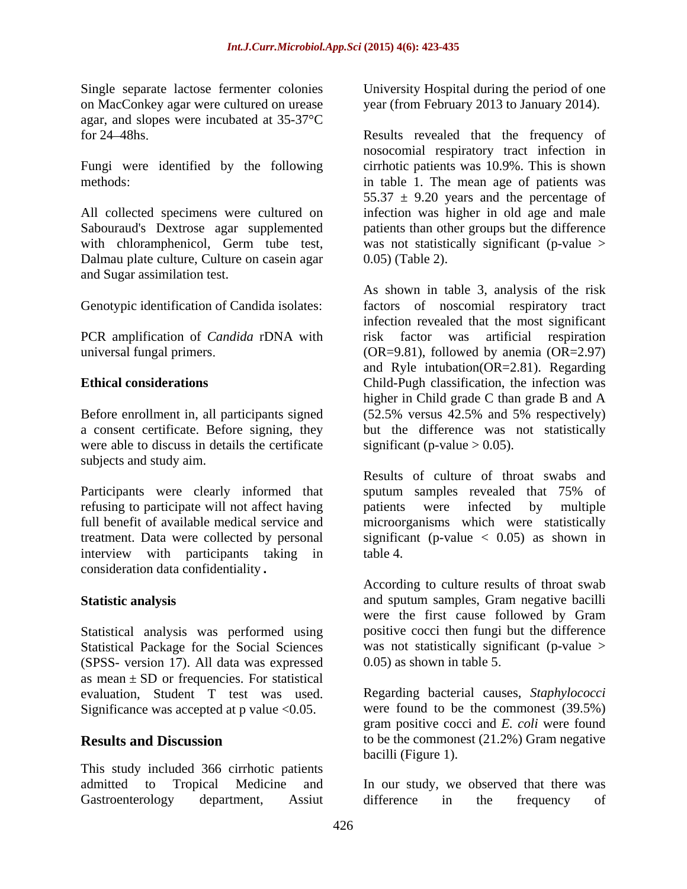on MacConkey agar were cultured on urease year (from February 2013 to January 2014). agar, and slopes were incubated at 35-37°C

Fungi were identified by the following

Sabouraud's Dextrose agar supplemented Dalmau plate culture, Culture on casein agar and Sugar assimilation test.

PCR amplification of *Candida* rDNA with

Before enrollment in, all participants signed (52.5% versus 42.5% and 5% respectively) a consent certificate. Before signing, they were able to discuss in details the certificate subjects and study aim.

Participants were clearly informed that sputum samples revealed that 75% of refusing to participate will not affect having by patients were infected by multiple interview with participants taking in table 4. consideration data confidentiality**.**

Statistical analysis was performed using Statistical Package for the Social Sciences was not statistically sign<br>
(SPSS-version 17) All data was expressed 0.05) as shown in table 5. (SPSS- version 17). All data was expressed as mean  $\pm$  SD or frequencies. For statistical evaluation, Student T test was used. Regarding bacterial causes, *Staphylococci* Significance was accepted at  $p$  value <0.05.

This study included 366 cirrhotic patients Gastroenterology department, Assiut difference in the frequency of

Single separate lactose fermenter colonies University Hospital during the period of one

for 24 48hs Results revealed that the frequency of methods in table 1. The mean age of patients was All collected specimens were cultured on infection was higher in old age and male with chloramphenicol, Germ tube test, was not statistically significant (p-value > nosocomial respiratory tract infection in cirrhotic patients was 10.9%. This is shown  $55.37 \pm 9.20$  years and the percentage of patients than other groups but the difference 0.05) (Table 2).

Genotypic identification of Candida isolates factors of noscomial respiratory tract universal fungal primers (OR=9.81), followed by anemia (OR=2.97) **Ethical considerations** Child-Pugh classification, the infection was As shown in table 3, analysis of the risk infection revealed that the most significant risk factor was artificial respiration and Ryle intubation(OR=2.81). Regarding higher in Child grade C than grade B and A (52.5% versus 42.5% and 5% respectively) but the difference was not statistically significant (p-value  $> 0.05$ ).

full benefit of available medical service and microorganisms which were statistically treatment. Data were collected by personal significant (p-value < 0.05) as shown in Results of culture of throat swabs and sputum samples revealed that 75% of patients were infected table 4.

**Statistic analysis** and sputum samples, Gram negative bacilli According to culture results of throat swab were the first cause followed by Gram positive cocci then fungi but the difference was not statistically significant (p-value  $>$ 0.05) as shown in table 5

**Results and Discussion** to be the commonest (21.2%) Gram negative were found to be the commonest (39.5%) gram positive cocci and *E. coli* were found bacilli (Figure 1).

admitted to Tropical Medicine and In our study, we observed that there was difference in the frequency of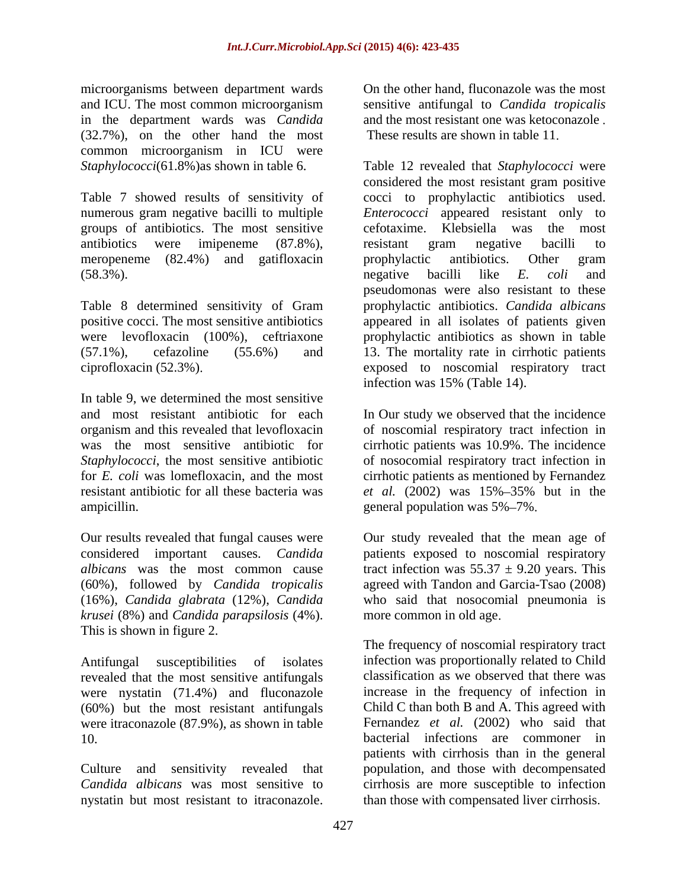and ICU. The most common microorganism sensitive antifungal to *Candida tropicalis* in the department wards was *Candida* (32.7%), on the other hand the most common microorganism in ICU were

meropeneme (82.4%) and gatifloxacin prophylactic antibiotics. Other gram

In table 9, we determined the most sensitive resistant antibiotic for all these bacteria was et al. (2002) was 15%-35% but in the ampicillin. general population was  $5\% - 7\%$ .

(60%), followed by *Candida tropicalis* (16%), *Candida glabrata* (12%), *Candida krusei* (8%) and *Candida parapsilosis* (4%). This is shown in figure 2.

revealed that the most sensitive antifungals (60%) but the most resistant antifungals were itraconazole (87.9%), as shown in table

microorganisms between department wards On the other hand, fluconazole was the most and the most resistant one was ketoconazole These results are shown in table 11.

*Staphylococci*(61.8%)as shown in table 6. Table 12 revealed that *Staphylococci* were Table 7 showed results of sensitivity of cocci to prophylactic antibiotics used. numerous gram negative bacilli to multiple *Enterococci* appeared resistant only to groups of antibiotics. The most sensitive cefotaxime. Klebsiella was the most antibiotics were imipeneme (87.8%),  $(58.3\%)$ . negative bacilli like E. *coli* and Table 8 determined sensitivity of Gram prophylactic antibiotics. *Candida albicans* positive cocci. The most sensitive antibiotics appeared in all isolates of patients given were levofloxacin (100%), ceftriaxone prophylactic antibiotics as shown in table (57.1%), cefazoline (55.6%) and 13. The mortality rate in cirrhotic patients ciprofloxacin (52.3%) exposed to noscomial respiratory tract microscopains herewe die most resistant to the condition of the stationarise to iteration of the distant to itraconazole was the most resistant to iteration of the distant of the most resistant to iteration of the most res considered the most resistant gram positive resistant gram negative bacilli to prophylactic antibiotics. Other gram negative bacilli like *E. coli* and pseudomonas were also resistant to these infection was 15% (Table 14).

and most resistant antibiotic for each In Our study we observed that the incidence organism and this revealed that levofloxacin of noscomial respiratory tract infection in was the most sensitive antibiotic for cirrhotic patients was 10.9%. The incidence Staphylococci, the most sensitive antibiotic of nosocomial respiratory tract infection in for *E. coli* was lomefloxacin, and the most cirrhotic patients as mentioned by Fernandez *et al.* (2002) was 15%–35% but in the general population was  $5\% - 7\%$ .

Our results revealed that fungal causes were Our study revealed that the mean age of considered important causes. *Candida*  patients exposed to noscomial respiratory *albicans* was the most common cause tract infection was  $55.37 \pm 9.20$  years. This agreed with Tandon and Garcia-Tsao (2008) who said that nosocomial pneumonia is more common in old age

Antifungal susceptibilities of isolates infection was proportionally related to Child were nystatin (71.4%) and fluconazole increase in the frequency of infection in 10. bacterial infections are commoner in Culture and sensitivity revealed that population, and those with decompensated *Candida albicans* was most sensitive to cirrhosis are more susceptible to infection The frequency of noscomial respiratory tract classification as we observed that there was Child C than both B and A. This agreed with Fernandez *et al.* (2002) who said that patients with cirrhosis than in the general than those with compensated liver cirrhosis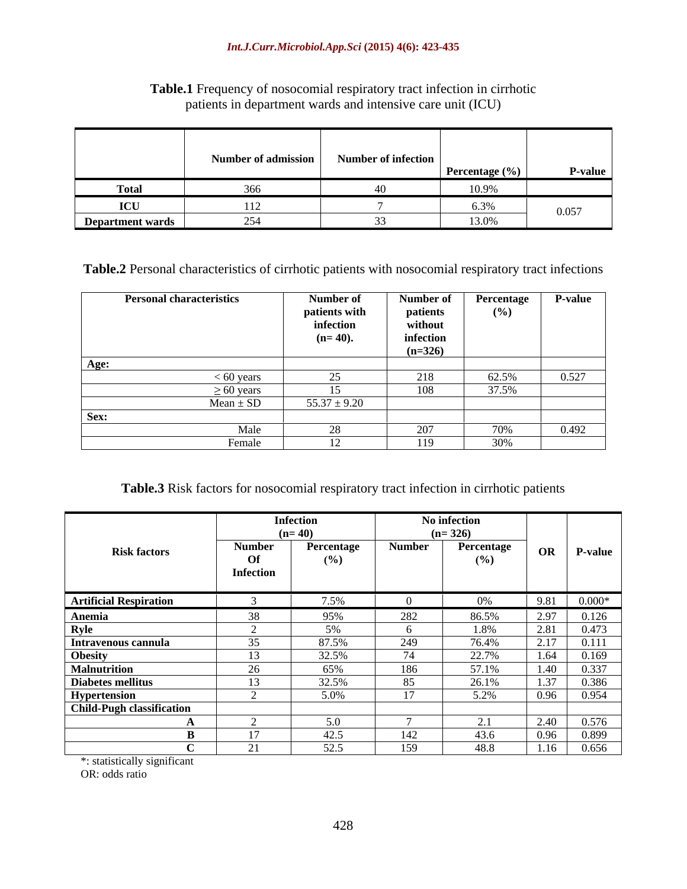## *Int.J.Curr.Microbiol.App.Sci* **(2015) 4(6): 423-435**

## **Table.1** Frequency of nosocomial respiratory tract infection in cirrhotic patients in department wards and intensive care unit (ICU)

**Table.2** Personal characteristics of cirrhotic patients with nosocomial respiratory tract infections

| <b>Personal characteristics</b> | Number of        | Number of Percentage P-value |       |       |
|---------------------------------|------------------|------------------------------|-------|-------|
|                                 | patients with    | patients                     | (%)   |       |
|                                 | infection        | without                      |       |       |
|                                 | $(n=40)$ .       | infection                    |       |       |
|                                 |                  | $(n=326)$                    |       |       |
| A øe:-                          |                  |                              |       |       |
| $< 60$ vears                    |                  | 218                          | 62.5% | 0.527 |
| $\geq 60$ years                 |                  | 108                          | 37.5% |       |
| $Mean \pm SD$                   | $55.37 \pm 9.20$ |                              |       |       |
| Sex:                            |                  |                              |       |       |
| Male                            |                  | 207                          | 70%   | 0.492 |
| Female                          |                  | 110                          | 30%   |       |

## **Table.3** Risk factors for nosocomial respiratory tract infection in cirrhotic patients

|                                  |               | <b>Infection</b> |                | No infection |        |                                                                                             |
|----------------------------------|---------------|------------------|----------------|--------------|--------|---------------------------------------------------------------------------------------------|
|                                  |               | $(n=40)$         |                | $(n=326)$    |        |                                                                                             |
| <b>Risk factors</b>              | <b>Number</b> | Percentage       | <b>Number</b>  | Percentage   |        | OR P-value                                                                                  |
|                                  | <b>Of</b>     | (%)              |                | (%)          |        |                                                                                             |
|                                  | Infection     |                  |                |              |        |                                                                                             |
|                                  |               |                  |                |              |        |                                                                                             |
| <b>Artificial Respiration</b>    |               | 7.5%             |                | $0\%$        | $9.81$ | $0.000*$                                                                                    |
| Anemia                           |               | 95%              | 282            | 86.5%        | 2.97   |                                                                                             |
| <b>Ryle</b>                      |               |                  |                | 1.8%         | 2.81   | $\begin{array}{ c c c }\n\hline\n 97 & 0.126 \\ \hline\n 81 & 0.473 \\ \hline\n\end{array}$ |
| Intravenous cannula              |               | 87.5%            | 249            | 76.4%        | 2.17   | 0.111                                                                                       |
| Obesity                          |               | 32.5%            |                | 22.7%        | 1.64   | 0.169                                                                                       |
| <b>Malnutrition</b>              |               | 65%              | 186            | 57.1%        | 1.40   | 0.337                                                                                       |
| Diabetes mellitus                |               | 32.5%            | 85             | 26.1%        | 1.37   | 0.386                                                                                       |
| Hypertension                     |               | 5.0%             | $\overline{1}$ | 5.2%         | 0.96   | $\begin{array}{ c c } 0.954 \end{array}$                                                    |
| <b>Child-Pugh classification</b> |               |                  |                |              |        |                                                                                             |
|                                  |               | 5 Q              |                | 2.1          | 2.40   | 0.576                                                                                       |
|                                  |               | 42.5             | 142            | 43.6         | 0.96   | 0.899                                                                                       |
|                                  |               | 52.5             | 159            | 48.8         |        | $1.16$ 0.656                                                                                |

\*: statistically significant

OR: odds ratio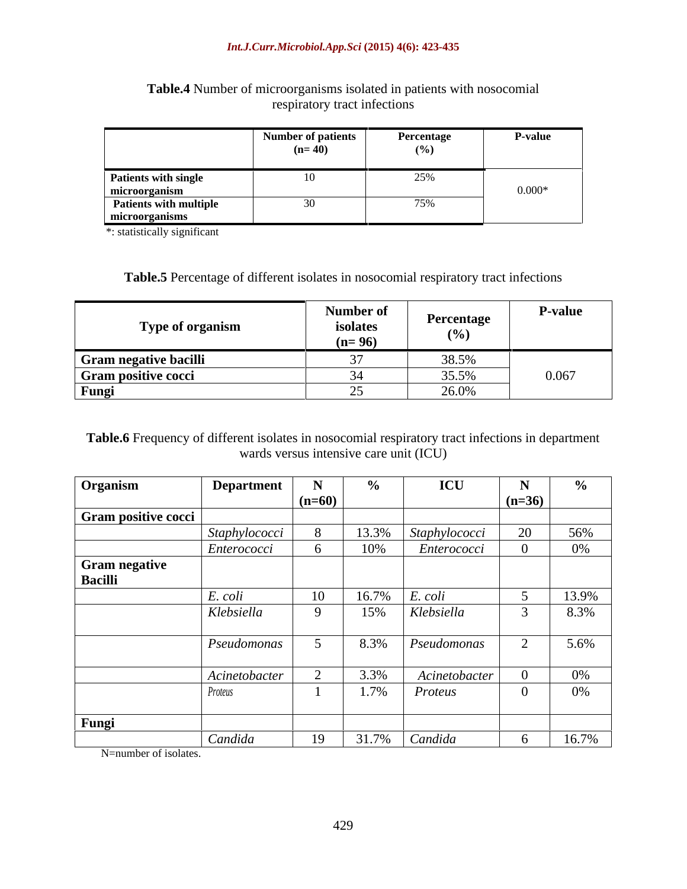|                        | Number of patients                                         | Percentage                      | <b>P-value</b> |
|------------------------|------------------------------------------------------------|---------------------------------|----------------|
|                        | the contract of the contract of the contract of<br>$(n=4)$ | the contract of the contract of |                |
|                        |                                                            |                                 |                |
| Patients with single   | $\sim$ $\sim$                                              | $\overline{\phantom{a}}$        |                |
| microorganism          |                                                            |                                 | $0.000*$       |
| Patients with multiple |                                                            |                                 |                |
| microorganisms         |                                                            |                                 |                |

## **Table.4** Number of microorganisms isolated in patients with nosocomial respiratory tract infections

\*: statistically significant

## **Table.5** Percentage of different isolates in nosocomial respiratory tract infections

**Table.6** Frequency of different isolates in nosocomial respiratory tract infections in department wards versus intensive care unit (ICU)

| Organism             | <b>Department</b> | $\mathbf{N}$    |          | ICU                | $\blacksquare$ | $\frac{6}{10}$ |
|----------------------|-------------------|-----------------|----------|--------------------|----------------|----------------|
|                      |                   | $\ln 60$        |          |                    | $(n=36)$       |                |
| Gram positive cocci  |                   |                 |          |                    |                |                |
|                      | Staphylococci     |                 | 13.3%    | Staphylococci      | $\angle U$     | 56%            |
|                      | Enterococci       |                 | $\Omega$ | <i>Enterococci</i> |                | 0%             |
| <b>Gram negative</b> |                   |                 |          |                    |                |                |
| <b>Bacilli</b>       |                   |                 |          |                    |                |                |
|                      | E. coli           | $\overline{10}$ |          | E. coli            |                | 13.9%          |
|                      |                   |                 | 150/     |                    |                |                |
|                      | Klebsiella        |                 |          | Klebsiella         |                | 8.3%           |
|                      |                   |                 |          |                    |                |                |
|                      | Pseudomonas       |                 | 8.3%     | Pseudomonas        |                | 5.6%           |
|                      |                   |                 |          |                    |                |                |
|                      | Acinetobacter     |                 |          | Acinetobacter      |                | 0%             |
|                      | Proteus           |                 |          | Proteus            |                | 0%             |
|                      |                   |                 |          |                    |                |                |
| Fungi                |                   |                 |          |                    |                |                |
|                      | Candida           | 19              |          | $31.7\%$ Candida   |                | 16.7%          |

N=number of isolates.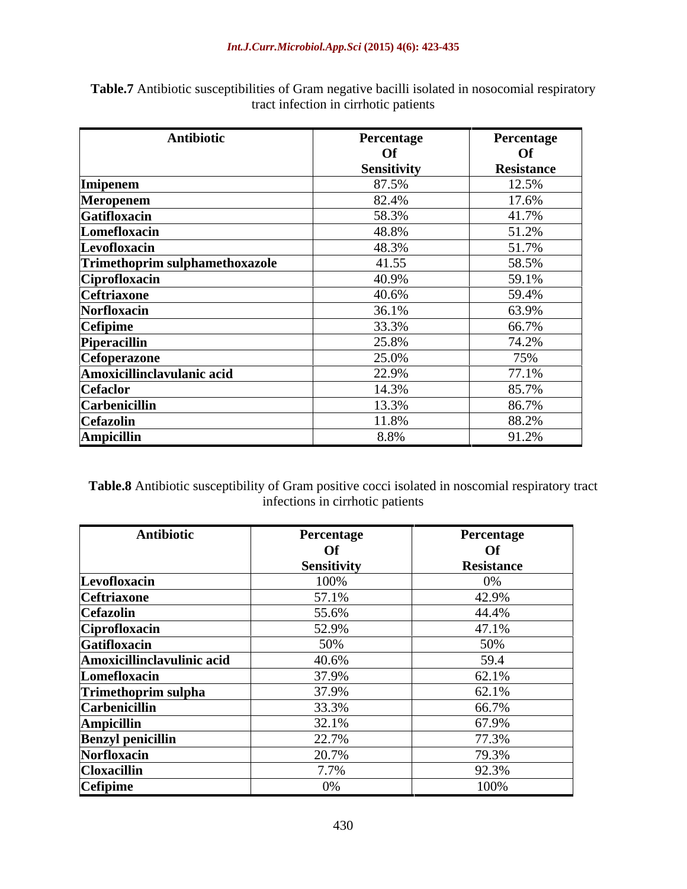| Antibiotic                     | Percentage  | Percentage |
|--------------------------------|-------------|------------|
|                                | <b>Of</b>   | <b>Of</b>  |
|                                | Sensitivity | Resistance |
| Imipenem                       | 87.5%       | 12.5%      |
| Meropenem                      | 82.4%       | 17.6%      |
| Gatifloxacin                   | 58.3%       | 41.7%      |
| Lomefloxacin                   | 48.8%       | 51.2%      |
| Levofloxacin                   | 48.3%       | 51.7%      |
| Trimethoprim sulphamethoxazole | 41.55       | 58.5%      |
| Ciprofloxacin                  | 40.9%       | 59.1%      |
| <b>Ceftriaxone</b>             | 40.6%       | 59.4%      |
| Norfloxacin                    | 36.1%       | 63.9%      |
| <b>Cefipime</b>                | 33.3%       | 66.7%      |
| Piperacillin                   | 25.8%       | 74.2%      |
| Cefoperazone                   | 25.0%       | 75%        |
| Amoxicillinclavulanic acid     | 22.9%       | 77.1%      |
| <b>Cefaclor</b>                | 14.3%       | 85.7%      |
| <b>Carbenicillin</b>           | 13.3%       | 86.7%      |
| <b>Cefazolin</b>               | 11.8%       | 88.2%      |
| <b>Ampicillin</b>              | 8.8%        | 91.2%      |

**Table.7** Antibiotic susceptibilities of Gram negative bacilli isolated in nosocomial respiratory tract infection in cirrhotic patients

**Table.8** Antibiotic susceptibility of Gram positive cocci isolated in noscomial respiratory tract infections in cirrhotic patients

| <b>Antibiotic</b>          | Percentage  | Percentage        |
|----------------------------|-------------|-------------------|
|                            |             | <b>Of</b>         |
|                            | Sensitivity | <b>Resistance</b> |
| Levofloxacin               | 100%        |                   |
| <b>Ceftriaxone</b>         | 57.1%       | 42.9%             |
| <b>Cefazolin</b>           | 55.6%       | 44.4%             |
| Ciprofloxacin              | 52.9%       | 47.1%             |
| Gatifloxacin               | 50%         | 50%               |
| Amoxicillinclavulinic acid | 40.6%       | 59.4              |
| Lomefloxacin               | 37.9%       | 62.1%             |
| Trimethoprim sulpha        | 37.9%       | 62.1%             |
| Carbenicillin              | 33.3%       | 66.7%             |
| <b>Ampicillin</b>          | $32.1\%$    | 67.9%             |
| <b>Benzyl penicillin</b>   | 22.7%       | 77.3%             |
| Norfloxacin                | 20.7%       | 79.3%             |
| <b>Cloxacillin</b>         | 7.7%        | 92.3%             |
| Cefipime                   | 0%          | 100%              |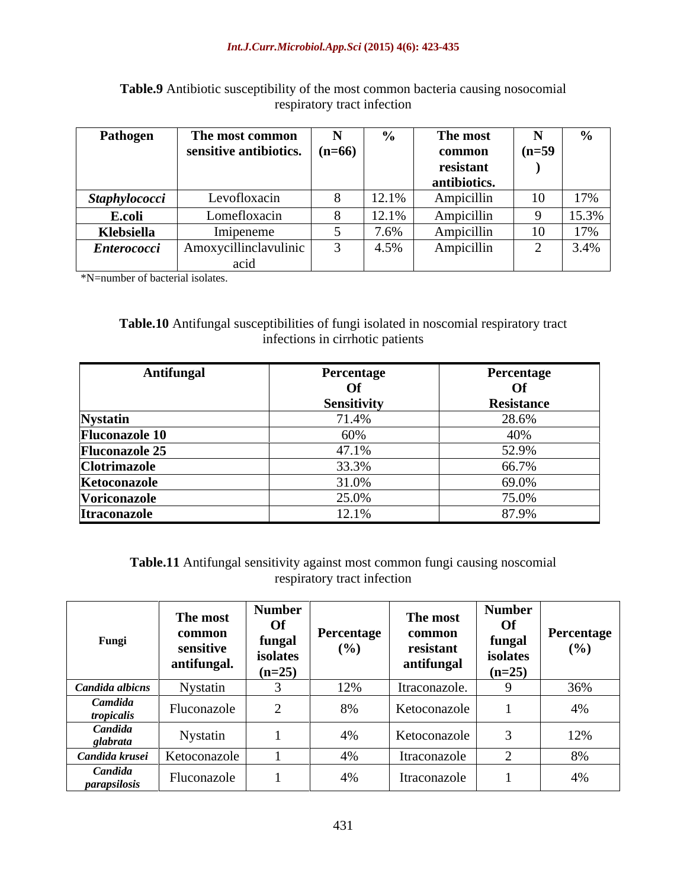| Pathogen           | The most common                       |       | The most     |          |         |  |
|--------------------|---------------------------------------|-------|--------------|----------|---------|--|
|                    | sensitive antibiotics. $ $ (n=66) $ $ |       | common       | $(n=59)$ |         |  |
|                    |                                       |       | resistant    |          |         |  |
|                    |                                       |       | antibiotics. |          |         |  |
| Staphylococci      | Levofloxacin                          |       | Ampicillin   |          | 17%     |  |
| <b>E.coli</b>      | Lomefloxacin                          | 12.1% | Ampicillin   |          | 15.39   |  |
| Klebsiella         | Imipeneme                             | 7.6%  | Ampicillin   |          |         |  |
| <b>Enterococci</b> | Amoxycillinclavulinic                 | 4.5%  | Ampicillin   |          | $3.4\%$ |  |
|                    | - асил                                |       |              |          |         |  |

## **Table.9** Antibiotic susceptibility of the most common bacteria causing nosocomial respiratory tract infection

\*N=number of bacterial isolates.

## **Table.10** Antifungal susceptibilities of fungi isolated in noscomial respiratory tract infections in cirrhotic patients

| <b>Antifungal</b>                  | Percentage  | Percentage |
|------------------------------------|-------------|------------|
|                                    |             | <b>Of</b>  |
|                                    | Sensitivity | Resistance |
|                                    | 71.4%       | 28.6%      |
| <b>Nystatin<br/>Fluconazole 10</b> |             | 40%        |
| <b>Fluconazole 25</b>              | 47.1%       | 52.9%      |
| <b>Clotrimazole</b>                | 33.3%       | 66.7%      |
| Ketoconazole                       | 31.0%       | 69.0%      |
| Voriconazole                       | 25.0%       | 75.0%      |
| Itraconazole                       | 12.1%       | 87.9%      |

**Table.11** Antifungal sensitivity against most common fungi causing noscomial respiratory tract infection

| Fungi                                    | The most<br>common<br>sensitive<br>antifungal. | <b>Number</b><br>Of<br>funga<br>isolates<br>$(n=25)$ | Percentage<br>$(\%)$ | The most<br>commor<br>resistant<br>antifungal | Number<br><b>Of</b><br>funga<br>isolates<br>$(n=25)$ | Percentage |
|------------------------------------------|------------------------------------------------|------------------------------------------------------|----------------------|-----------------------------------------------|------------------------------------------------------|------------|
|                                          |                                                |                                                      |                      |                                               |                                                      | 36%        |
| Candida albicns<br>Camdida<br>tropicalis | Nystatin<br>Fluconazole                        |                                                      | 12%<br>8%            | Itraconazole.<br>Ketoconazole                 |                                                      |            |
|                                          | Nystatin                                       |                                                      | 4%                   | Ketoconazol $\epsilon$                        |                                                      | 4%         |
| glabrata<br>Candida krusei               | Ketoconazole                                   |                                                      | 4%                   | Itraconazol                                   |                                                      | 12%        |
| Candida<br>parapsilosis                  | Fluconazole                                    |                                                      | 4%                   | Itraconazole                                  |                                                      | 4%         |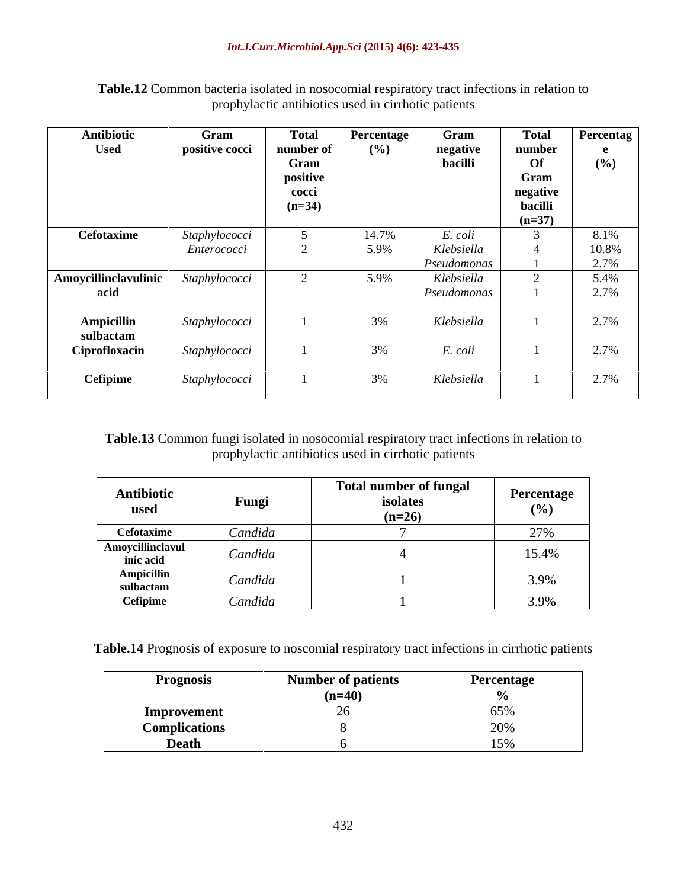| <b>Used</b><br>positive cocci<br>number<br>Gram<br>positive<br>cocci<br>$(n=34)$<br>Cefotaxime<br>Staphylococci<br><i>Enterococci</i><br>Staphylococci<br>acid<br>Ampicillin<br>Staphylococci<br>sulbactam | $($ %)<br>14.7%<br>5.9% | negative<br>bacilli<br>E. coli<br>Klebsiella<br>Pseudomonas | number<br>Of<br>Gram<br>negative<br>bacilli<br>$(n=37)$ | (%)<br>8.1%<br>10.8%<br>2.7% |
|------------------------------------------------------------------------------------------------------------------------------------------------------------------------------------------------------------|-------------------------|-------------------------------------------------------------|---------------------------------------------------------|------------------------------|
| Amoycillinclavulinic                                                                                                                                                                                       |                         |                                                             |                                                         |                              |
|                                                                                                                                                                                                            |                         |                                                             |                                                         |                              |
|                                                                                                                                                                                                            |                         |                                                             |                                                         |                              |
|                                                                                                                                                                                                            |                         |                                                             |                                                         |                              |
|                                                                                                                                                                                                            |                         |                                                             |                                                         |                              |
|                                                                                                                                                                                                            |                         |                                                             |                                                         |                              |
|                                                                                                                                                                                                            |                         |                                                             |                                                         |                              |
|                                                                                                                                                                                                            |                         |                                                             |                                                         |                              |
|                                                                                                                                                                                                            |                         |                                                             |                                                         |                              |
|                                                                                                                                                                                                            | 5.9%                    | Klebsiella                                                  |                                                         | 5.4%                         |
|                                                                                                                                                                                                            |                         | Pseudomonas                                                 |                                                         | 2.7%                         |
|                                                                                                                                                                                                            |                         |                                                             |                                                         |                              |
|                                                                                                                                                                                                            | 3%                      | Klebsiella                                                  |                                                         | 2.7%                         |
|                                                                                                                                                                                                            |                         |                                                             |                                                         |                              |
|                                                                                                                                                                                                            | 3%                      | E. coli                                                     |                                                         | 2.7%                         |
| Ciprofloxacin<br>Staphylococci                                                                                                                                                                             |                         |                                                             |                                                         |                              |
|                                                                                                                                                                                                            | 3%                      |                                                             |                                                         |                              |
| Cefipime<br>Staphylococci                                                                                                                                                                                  |                         | Klebsiella                                                  |                                                         | 2.7%                         |

**Table.12** Common bacteria isolated in nosocomial respiratory tract infections in relation to prophylactic antibiotics used in cirrhotic patients

## **Table.13** Common fungi isolated in nosocomial respiratory tract infections in relation to prophylactic antibiotics used in cirrhotic patients

| Antibiotic<br>used                                                               |                                 | <b>Total number of fungal</b><br>isolates<br>$(n=26)$ | Percentage                          |
|----------------------------------------------------------------------------------|---------------------------------|-------------------------------------------------------|-------------------------------------|
| Cefotaxime                                                                       | Candida                         |                                                       | 270'                                |
| <b>Amoycillinclavul</b><br>the contract of the contract of the con-<br>inic acid | Candida                         |                                                       | 15.4%                               |
| Ampicilli<br>sulbactam                                                           | Candida                         |                                                       | $\sim$ $\sim$ $\sim$ $\sim$<br>3.9% |
| <b>Cefipime</b>                                                                  | $\sim$ $\sim$ $\sim$<br>Candida |                                                       | 2.001<br>3.YY0                      |

**Table.14** Prognosis of exposure to noscomial respiratory tract infections in cirrhotic patients

| Prognosis                                                                       | Number of patients | Percentage |
|---------------------------------------------------------------------------------|--------------------|------------|
| the contract of the contract of the contract of the contract of the contract of | $(n=40)$           |            |
| <b>Improvement</b>                                                              |                    |            |
| $\cdots$ $\cdots$                                                               |                    | (11.97)    |
| D <sub>cal</sub>                                                                |                    |            |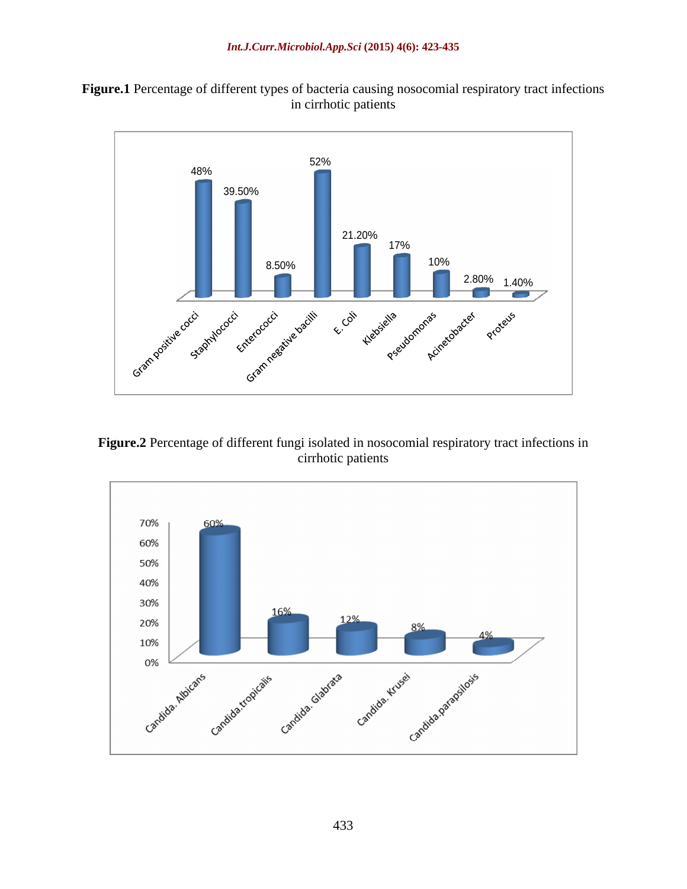



**Figure.2** Percentage of different fungi isolated in nosocomial respiratory tract infections in cirrhotic patients

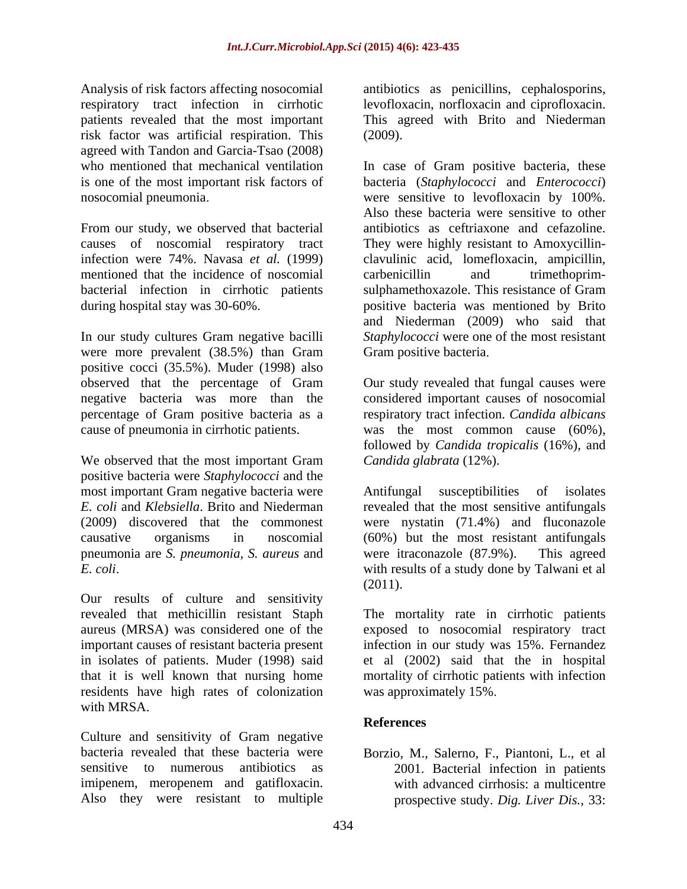Analysis of risk factors affecting nosocomial antibiotics as penicillins, cephalosporins, respiratory tract infection in cirrhotic levofloxacin, norfloxacin and ciprofloxacin. patients revealed that the most important This agreed with Brito and Niederman risk factor was artificial respiration. This agreed with Tandon and Garcia-Tsao (2008)

From our study, we observed that bacterial mentioned that the incidence of noscomial carbenicillin and trimethoprim-

In our study cultures Gram negative bacilli were more prevalent (38.5%) than Gram Gram positive bacteria. positive cocci (35.5%). Muder (1998) also cause of pneumonia in cirrhotic patients.

We observed that the most important Gram positive bacteria were *Staphylococci* and the most important Gram negative bacteria were Antifungal *E. coli* and *Klebsiella*. Brito and Niederman revealed that the most sensitive antifungals (2009) discovered that the commonest were nystatin (71.4%) and fluconazole causative organisms in noscomial (60%) but the most resistant antifungals pneumonia are *S. pneumonia, S. aureus* and *E. coli* with results of a study done by Talwani et al

Our results of culture and sensitivity revealed that methicillin resistant Staph The mortality rate in cirrhotic patients aureus (MRSA) was considered one of the exposed to nosocomial respiratory tract important causes of resistant bacteria present infection in our study was 15%. Fernandez in isolates of patients. Muder (1998) said et al (2002) said that the in hospital that it is well known that nursing home mortality of cirrhotic patients with infection residents have high rates of colonization was approximately 15%. with MRSA.

Culture and sensitivity of Gram negative bacteria revealed that these bacteria were Borzio, M., Salerno, F., Piantoni, L., et al sensitive to numerous antibiotics as 2001. Bacterial infection in patients imipenem, meropenem and gatifloxacin. Also they were resistant to multiple

(2009).

who mentioned that mechanical ventilation In case of Gram positive bacteria, these is one of the most important risk factors of bacteria (*Staphylococci* and *Enterococci*) nosocomial pneumonia were sensitive to levofloxacin by 100%. causes of noscomial respiratory tract They were highly resistant to Amoxycillin infection were 74%. Navasa *et al.* (1999) clavulinic acid, lomefloxacin, ampicillin, bacterial infection in cirrhotic patients sulphamethoxazole. This resistance of Gram during hospital stay was 30-60%. The positive bacteria was mentioned by Brito Also these bacteria were sensitive to other antibiotics as ceftriaxone and cefazoline. carbenicillin and trimethoprim positive bacteria was mentioned by Brito and Niederman (2009) who said that *Staphylococci* were one of the most resistant Gram positive bacteria.

observed that the percentage of Gram Our study revealed that fungal causes were negative bacteria was more than the considered important causes of nosocomial percentage of Gram positive bacteria as a respiratory tract infection. *Candida albicans* was the most common cause (60%). followed by *Candida tropicalis* (16%), and *Candida glabrata* (12%).

> susceptibilities of isolates were itraconazole (87.9%). This agreed (2011).

was approximately 15%.

# **References**

with advanced cirrhosis: a multicentre prospective study. *Dig. Liver Dis.,* 33: